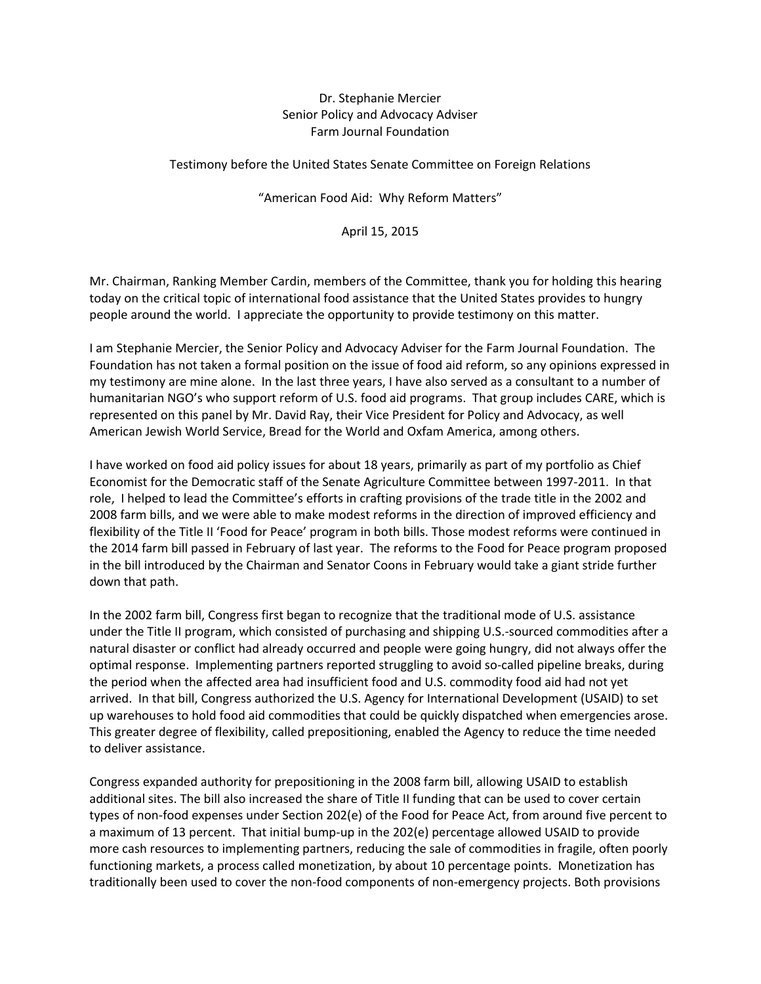## Dr. Stephanie Mercier Senior Policy and Advocacy Adviser Farm Journal Foundation

Testimony before the United States Senate Committee on Foreign Relations

## "American Food Aid: Why Reform Matters"

## April 15, 2015

Mr. Chairman, Ranking Member Cardin, members of the Committee, thank you for holding this hearing today on the critical topic of international food assistance that the United States provides to hungry people around the world. I appreciate the opportunity to provide testimony on this matter.

I am Stephanie Mercier, the Senior Policy and Advocacy Adviser for the Farm Journal Foundation. The Foundation has not taken a formal position on the issue of food aid reform, so any opinions expressed in my testimony are mine alone. In the last three years, I have also served as a consultant to a number of humanitarian NGO's who support reform of U.S. food aid programs. That group includes CARE, which is represented on this panel by Mr. David Ray, their Vice President for Policy and Advocacy, as well American Jewish World Service, Bread for the World and Oxfam America, among others.

I have worked on food aid policy issues for about 18 years, primarily as part of my portfolio as Chief Economist for the Democratic staff of the Senate Agriculture Committee between 1997‐2011. In that role, I helped to lead the Committee's efforts in crafting provisions of the trade title in the 2002 and 2008 farm bills, and we were able to make modest reforms in the direction of improved efficiency and flexibility of the Title II 'Food for Peace' program in both bills. Those modest reforms were continued in the 2014 farm bill passed in February of last year. The reforms to the Food for Peace program proposed in the bill introduced by the Chairman and Senator Coons in February would take a giant stride further down that path.

In the 2002 farm bill, Congress first began to recognize that the traditional mode of U.S. assistance under the Title II program, which consisted of purchasing and shipping U.S.‐sourced commodities after a natural disaster or conflict had already occurred and people were going hungry, did not always offer the optimal response. Implementing partners reported struggling to avoid so‐called pipeline breaks, during the period when the affected area had insufficient food and U.S. commodity food aid had not yet arrived. In that bill, Congress authorized the U.S. Agency for International Development (USAID) to set up warehouses to hold food aid commodities that could be quickly dispatched when emergencies arose. This greater degree of flexibility, called prepositioning, enabled the Agency to reduce the time needed to deliver assistance.

Congress expanded authority for prepositioning in the 2008 farm bill, allowing USAID to establish additional sites. The bill also increased the share of Title II funding that can be used to cover certain types of non‐food expenses under Section 202(e) of the Food for Peace Act, from around five percent to a maximum of 13 percent. That initial bump-up in the 202(e) percentage allowed USAID to provide more cash resources to implementing partners, reducing the sale of commodities in fragile, often poorly functioning markets, a process called monetization, by about 10 percentage points. Monetization has traditionally been used to cover the non‐food components of non‐emergency projects. Both provisions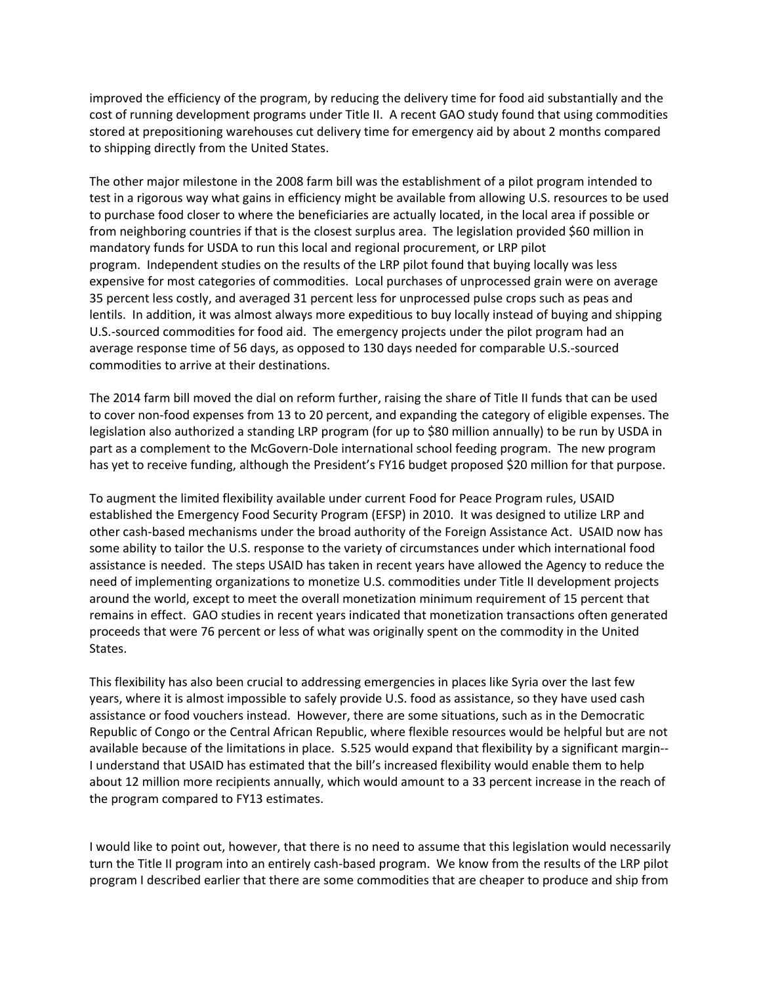improved the efficiency of the program, by reducing the delivery time for food aid substantially and the cost of running development programs under Title II. A recent GAO study found that using commodities stored at prepositioning warehouses cut delivery time for emergency aid by about 2 months compared to shipping directly from the United States.

The other major milestone in the 2008 farm bill was the establishment of a pilot program intended to test in a rigorous way what gains in efficiency might be available from allowing U.S. resources to be used to purchase food closer to where the beneficiaries are actually located, in the local area if possible or from neighboring countries if that is the closest surplus area. The legislation provided \$60 million in mandatory funds for USDA to run this local and regional procurement, or LRP pilot program. Independent studies on the results of the LRP pilot found that buying locally was less expensive for most categories of commodities. Local purchases of unprocessed grain were on average 35 percent less costly, and averaged 31 percent less for unprocessed pulse crops such as peas and lentils. In addition, it was almost always more expeditious to buy locally instead of buying and shipping U.S.‐sourced commodities for food aid. The emergency projects under the pilot program had an average response time of 56 days, as opposed to 130 days needed for comparable U.S.‐sourced commodities to arrive at their destinations.

The 2014 farm bill moved the dial on reform further, raising the share of Title II funds that can be used to cover non‐food expenses from 13 to 20 percent, and expanding the category of eligible expenses. The legislation also authorized a standing LRP program (for up to \$80 million annually) to be run by USDA in part as a complement to the McGovern-Dole international school feeding program. The new program has yet to receive funding, although the President's FY16 budget proposed \$20 million for that purpose.

To augment the limited flexibility available under current Food for Peace Program rules, USAID established the Emergency Food Security Program (EFSP) in 2010. It was designed to utilize LRP and other cash-based mechanisms under the broad authority of the Foreign Assistance Act. USAID now has some ability to tailor the U.S. response to the variety of circumstances under which international food assistance is needed. The steps USAID has taken in recent years have allowed the Agency to reduce the need of implementing organizations to monetize U.S. commodities under Title II development projects around the world, except to meet the overall monetization minimum requirement of 15 percent that remains in effect. GAO studies in recent years indicated that monetization transactions often generated proceeds that were 76 percent or less of what was originally spent on the commodity in the United States.

This flexibility has also been crucial to addressing emergencies in places like Syria over the last few years, where it is almost impossible to safely provide U.S. food as assistance, so they have used cash assistance or food vouchers instead. However, there are some situations, such as in the Democratic Republic of Congo or the Central African Republic, where flexible resources would be helpful but are not available because of the limitations in place. S.525 would expand that flexibility by a significant margin‐‐ I understand that USAID has estimated that the bill's increased flexibility would enable them to help about 12 million more recipients annually, which would amount to a 33 percent increase in the reach of the program compared to FY13 estimates.

I would like to point out, however, that there is no need to assume that this legislation would necessarily turn the Title II program into an entirely cash‐based program. We know from the results of the LRP pilot program I described earlier that there are some commodities that are cheaper to produce and ship from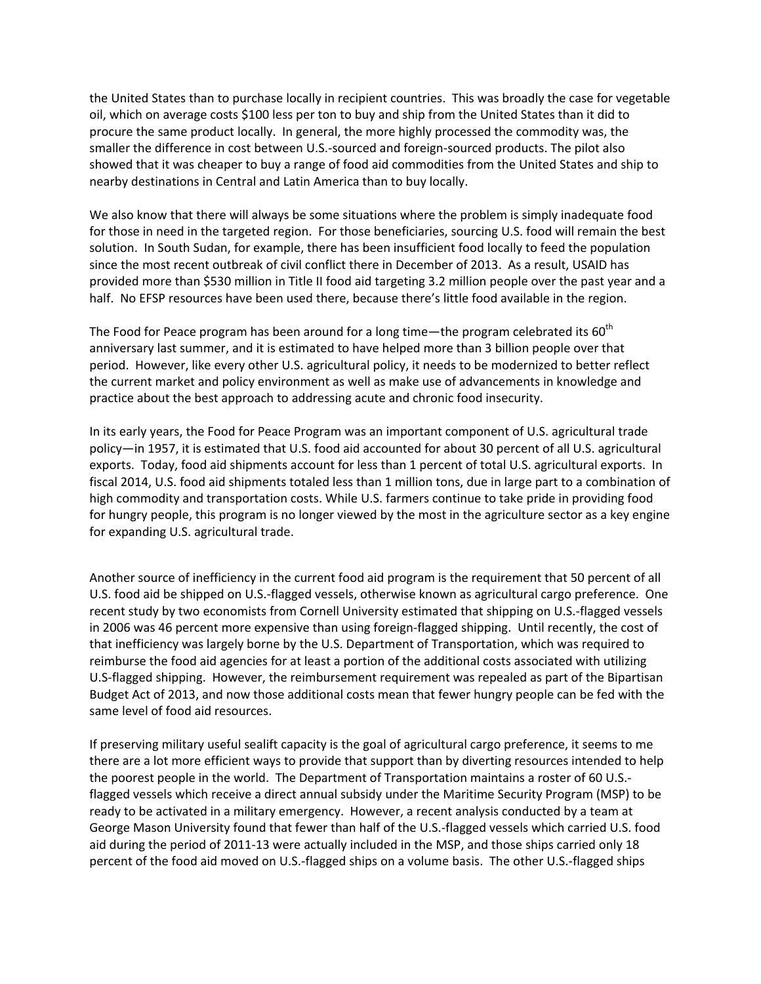the United States than to purchase locally in recipient countries. This was broadly the case for vegetable oil, which on average costs \$100 less per ton to buy and ship from the United States than it did to procure the same product locally. In general, the more highly processed the commodity was, the smaller the difference in cost between U.S.‐sourced and foreign‐sourced products. The pilot also showed that it was cheaper to buy a range of food aid commodities from the United States and ship to nearby destinations in Central and Latin America than to buy locally.

We also know that there will always be some situations where the problem is simply inadequate food for those in need in the targeted region. For those beneficiaries, sourcing U.S. food will remain the best solution. In South Sudan, for example, there has been insufficient food locally to feed the population since the most recent outbreak of civil conflict there in December of 2013. As a result, USAID has provided more than \$530 million in Title II food aid targeting 3.2 million people over the past year and a half. No EFSP resources have been used there, because there's little food available in the region.

The Food for Peace program has been around for a long time—the program celebrated its  $60<sup>th</sup>$ anniversary last summer, and it is estimated to have helped more than 3 billion people over that period. However, like every other U.S. agricultural policy, it needs to be modernized to better reflect the current market and policy environment as well as make use of advancements in knowledge and practice about the best approach to addressing acute and chronic food insecurity.

In its early years, the Food for Peace Program was an important component of U.S. agricultural trade policy—in 1957, it is estimated that U.S. food aid accounted for about 30 percent of all U.S. agricultural exports. Today, food aid shipments account for less than 1 percent of total U.S. agricultural exports. In fiscal 2014, U.S. food aid shipments totaled less than 1 million tons, due in large part to a combination of high commodity and transportation costs. While U.S. farmers continue to take pride in providing food for hungry people, this program is no longer viewed by the most in the agriculture sector as a key engine for expanding U.S. agricultural trade.

Another source of inefficiency in the current food aid program is the requirement that 50 percent of all U.S. food aid be shipped on U.S.‐flagged vessels, otherwise known as agricultural cargo preference. One recent study by two economists from Cornell University estimated that shipping on U.S.‐flagged vessels in 2006 was 46 percent more expensive than using foreign-flagged shipping. Until recently, the cost of that inefficiency was largely borne by the U.S. Department of Transportation, which was required to reimburse the food aid agencies for at least a portion of the additional costs associated with utilizing U.S‐flagged shipping. However, the reimbursement requirement was repealed as part of the Bipartisan Budget Act of 2013, and now those additional costs mean that fewer hungry people can be fed with the same level of food aid resources.

If preserving military useful sealift capacity is the goal of agricultural cargo preference, it seems to me there are a lot more efficient ways to provide that support than by diverting resources intended to help the poorest people in the world. The Department of Transportation maintains a roster of 60 U.S.‐ flagged vessels which receive a direct annual subsidy under the Maritime Security Program (MSP) to be ready to be activated in a military emergency. However, a recent analysis conducted by a team at George Mason University found that fewer than half of the U.S.‐flagged vessels which carried U.S. food aid during the period of 2011‐13 were actually included in the MSP, and those ships carried only 18 percent of the food aid moved on U.S.‐flagged ships on a volume basis. The other U.S.‐flagged ships